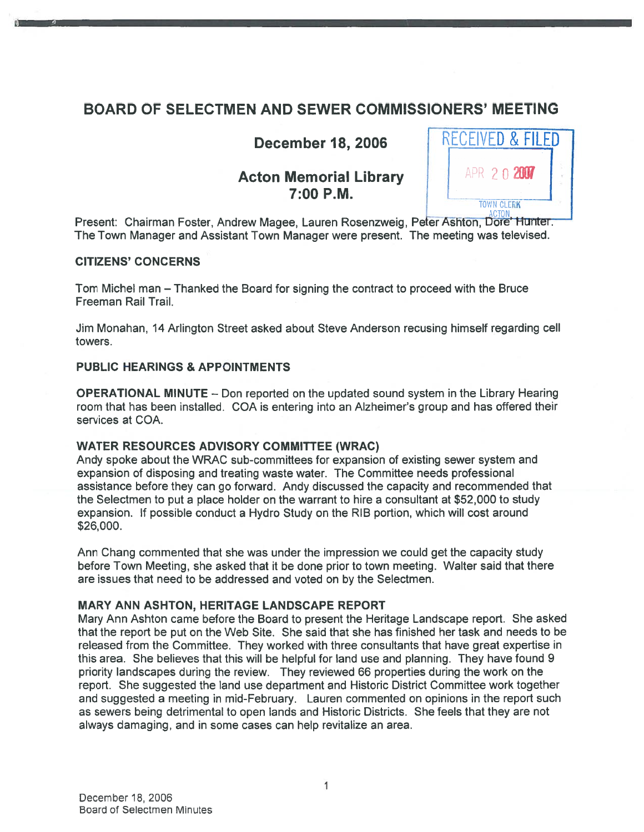## BOARD OF SELECTMEN AND SEWER COMMISSIONERS' MEETING

# Acton Memorial Library  $\parallel$   $\parallel$  APR 2 0 2007



Present: Chairman Foster, Andrew Magee, Lauren Rosenzweig, Peter Ashton, Dore' Hunter, The Town Manager and Assistant Town Manager were present. The meeting was televised.

### CITIZENS' CONCERNS

Tom Michel man — Thanked the Board for signing the contract to proceed with the Bruce Freeman Rail Trail.

Jim Monahan, 14 Arlington Street asked about Steve Anderson recusing himself regarding cell towers.

### PUBLIC HEARINGS & APPOINTMENTS

OPERATIONAL MINUTE — Don reported on the updated sound system in the Library Hearing room that has been installed. COA is entering into an Alzheimer's group and has offered their services at COA.

## WATER RESOURCES ADVISORY COMMITTEE (WRAC)

Andy spoke about the WRAC sub-committees for expansion of existing sewer system and expansion of disposing and treating waste water. The Committee needs professional assistance before they can go forward. Andy discussed the capacity and recommended that the Selectmen to pu<sup>t</sup> <sup>a</sup> place holder on the warrant to hire <sup>a</sup> consultant at \$52,000 to study expansion. If possible conduct <sup>a</sup> Hydro Study on the RIB portion, which will cost around \$26,000.

Ann Chang commented that she was under the impression we could ge<sup>t</sup> the capacity study before Town Meeting, she asked that it be done prior to town meeting. Walter said that there are issues that need to be addressed and voted on by the Selectmen.

### MARY ANN ASHTON, HERITAGE LANDSCAPE REPORT

Mary Ann Ashton came before the Board to presen<sup>t</sup> the Heritage Landscape report. She asked that the repor<sup>t</sup> be pu<sup>t</sup> on the Web Site. She said that she has finished her task and needs to be released from the Committee. They worked with three consultants that have grea<sup>t</sup> expertise in this area. She believes that this will be helpful for land use and planning. They have found 9 priority landscapes during the review. They reviewed 66 properties during the work on the report. She suggested the land use department and Historic District Committee work together and suggested <sup>a</sup> meeting in mid-February. Lauren commented on opinions in the repor<sup>t</sup> such as sewers being detrimental to open lands and Historic Districts. She feels that they are not always damaging, and in some cases can help revitalize an area.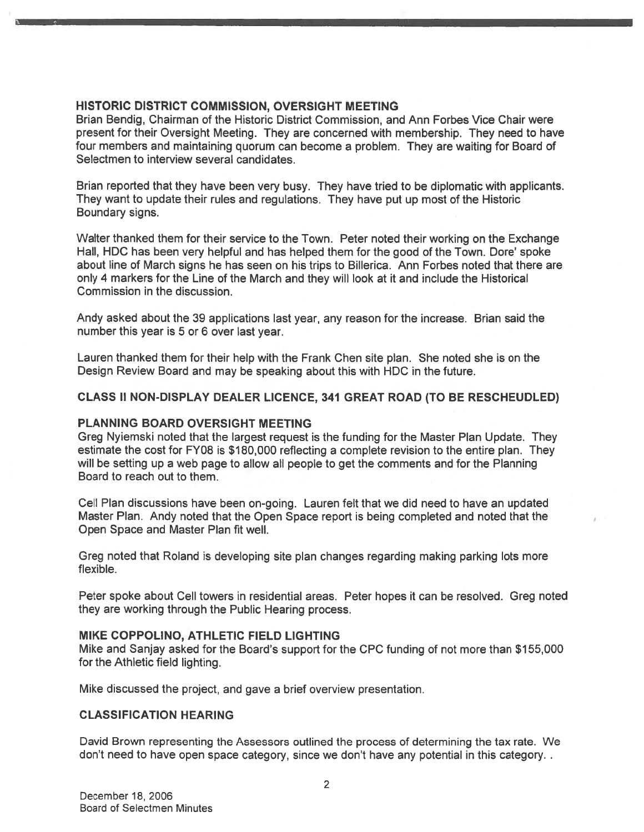#### HISTORIC DISTRICT COMMISSION, OVERSIGHT MEETING

Brian Bendig, Chairman of the Historic District Commission, and Ann Forbes Vice Chair were presen<sup>t</sup> for their Oversight Meeting. They are concerned with membership. They need to have four members and maintaining quorum can become <sup>a</sup> problem. They are waiting for Board of Selectmen to interview several candidates.

Brian reported that they have been very busy. They have tried to be diplomatic with applicants. They want to update their rules and regulations. They have pu<sup>t</sup> up most of the Historic Boundary signs.

Walter thanked them for their service to the Town. Peter noted their working on the Exchange Hall, HDC has been very helpful and has helped them for the good of the Town. Dore' spoke about line of March signs he has seen on his trips to Billerica. Ann Forbes noted that there are only 4 markers for the Line of the March and they will look at it and include the Historical Commission in the discussion.

Andy asked about the 39 applications last year, any reason for the increase. Brian said the number this year is 5 or 6 over last year.

Lauren thanked them for their help with the Frank Chen site plan. She noted she is on the Design Review Board and may be speaking about this with HDC in the future.

#### CLASS II NON-DISPLAY DEALER LICENCE, 341 GREAT ROAD (TO BE RESCHEUDLED)

#### PLANNING BOARD OVERSIGHT MEETING

Greg Nyiemski noted that the largest reques<sup>t</sup> is the funding for the Master Plan Update. They estimate the cost for FY08 is \$180,000 reflecting <sup>a</sup> complete revision to the entire plan. They will be setting up <sup>a</sup> web page to allow all people to ge<sup>t</sup> the comments and for the Planning Board to reach out to them.

Cell Plan discussions have been on-going. Lauren felt that we did need to have an updated Master Plan. Andy noted that the Open Space repor<sup>t</sup> is being completed and noted that the Open Space and Master Plan fit well.

Greg noted that Roland is developing site plan changes regarding making parking lots more flexible.

Peter spoke about Cell towers in residential areas. Peter hopes it can be resolved. Greg noted they are working through the Public Hearing process.

#### MIKE COPPOLINO, ATHLETIC FIELD LIGHTING

Mike and Sanjay asked for the Board's suppor<sup>t</sup> for the CPC funding of not more than \$155,000 for the Athletic field lighting.

Mike discussed the project, and gave <sup>a</sup> brief overview presentation.

#### CLASSIFICATION HEARING

David Brown representing the Assessors outlined the process of determining the tax rate. We don't need to have open space category, since we don't have any potential in this category.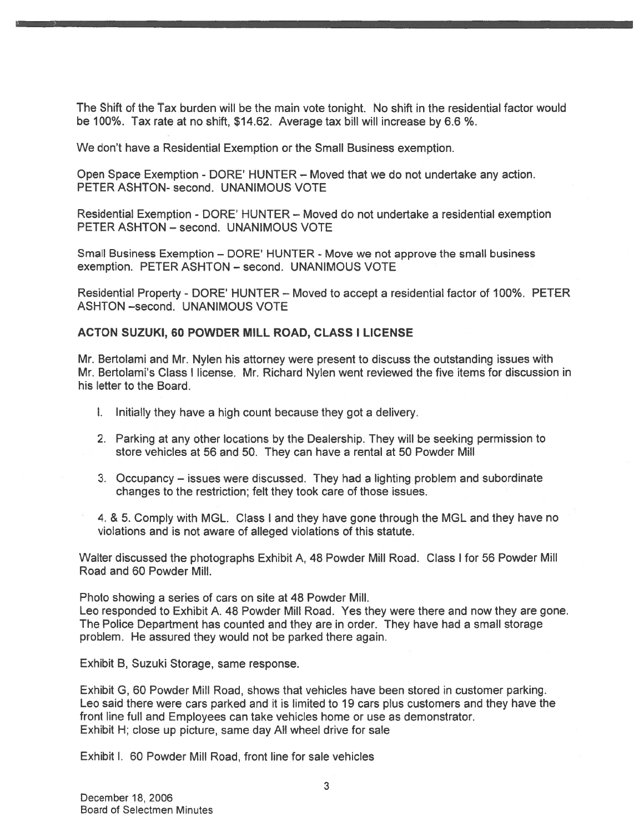The Shift of the Tax burden will be the main vote tonight. No shift in the residential factor would be 100%. Tax rate at no shift, \$14.62. Average tax bill will increase by 6.6 %.

We don't have <sup>a</sup> Residential Exemption or the Small Business exemption.

Open Space Exemption - DORE' HUNTER — Moved that we do not undertake any action. PETER ASHTON- second. UNANIMOUS VOTE

Residential Exemption - DORE' HUNTER — Moved do not undertake <sup>a</sup> residential exemption PETER ASHTON — second. UNANIMOUS VOTE

Small Business Exemption — DORE' HUNTER - Move we not approve the small business exemption. PETER ASHTON — second. UNANIMOUS VOTE

Residential Property - DORE' HUNTER — Moved to accep<sup>t</sup> <sup>a</sup> residential factor of 100%. PETER ASHTON -second. UNANIMOUS VOTE

#### ACTON SUZUKI, 60 POWDER MILL ROAD, CLASS I LICENSE

Mr. Bertolami and Mr. Nylen his attorney were presen<sup>t</sup> to discuss the outstanding issues with Mr. Bertolami's Class I license. Mr. Richard Nylen went reviewed the five items for discussion in his letter to the Board.

- I. Initially they have <sup>a</sup> high count because they go<sup>t</sup> <sup>a</sup> delivery.
- 2. Parking at any other locations by the Dealership. They will be seeking permission to store vehicles at 56 and 50. They can have <sup>a</sup> rental at 50 Powder Mill
- 3. Occupancy issues were discussed. They had <sup>a</sup> lighting problem and subordinate changes to the restriction; felt they took care of those issues.

4. & 5. Comply with MGL. Class I and they have gone through the MGL and they have no violations and is not aware of alleged violations of this statute.

Walter discussed the photographs Exhibit A, 48 Powder Mill Road. Class I for 56 Powder Mill Road and 60 Powder Mill.

Photo showing <sup>a</sup> series of cars on site at 48 Powder Mill.

Leo responded to Exhibit A. 48 Powder Mill Road. Yes they were there and now they are gone. The Police Department has counted and they are in order. They have had <sup>a</sup> small storage problem. He assured they would not be parked there again.

Exhibit B, Suzuki Storage, same response.

Exhibit G, 60 Powder Mill Road, shows that vehicles have been stored in customer parking. Leo said there were cars parked and it is limited to 19 cars plus customers and they have the front line full and Employees can take vehicles home or use as demonstrator. Exhibit H; close up picture, same day All wheel drive for sale

Exhibit I. 60 Powder Mill Road, front line for sale vehicles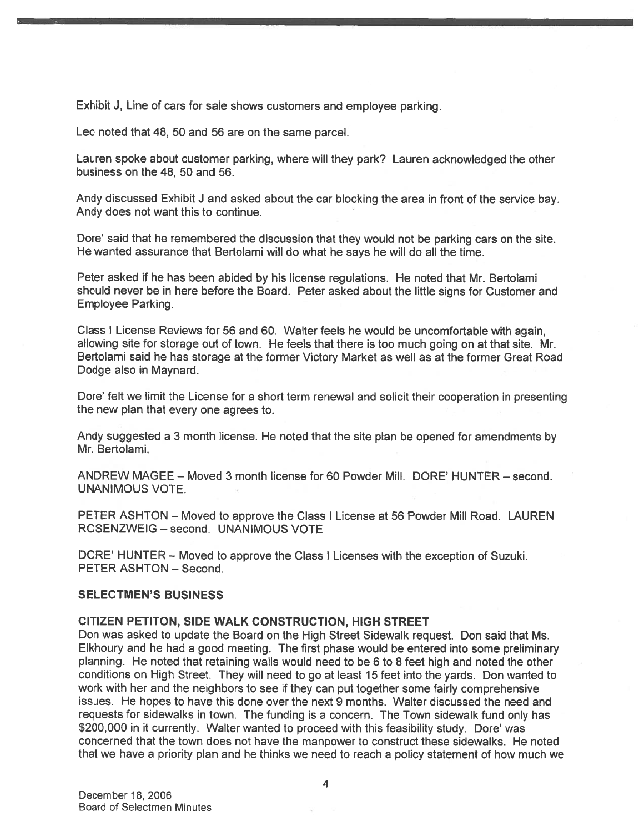Exhibit J, Line of cars for sale shows customers and employee parking.

Leo noted that 48, 50 and 56 are on the same parcel.

Lauren spoke about customer parking, where will they park? Lauren acknowledged the other business on the 48, 50 and 56.

Andy discussed Exhibit <sup>J</sup> and asked about the car blocking the area in front of the service bay. Andy does not want this to continue.

Dore' said that he remembered the discussion that they would not be parking cars on the site. He wanted assurance that Bertolami will do what he says he will do all the time.

Peter asked if he has been abided by his license regulations. He noted that Mr. Bertolami should never be in here before the Board. Peter asked about the little signs for Customer and Employee Parking.

Class <sup>I</sup> License Reviews for <sup>56</sup> and 60. Walter feels he would be uncomfortable with again, allowing site for storage out of town. He feels that there is too much going on at that site. Mr. Bertolami said he has storage at the former Victory Market as well as at the former Great Road Dodge also in Maynard.

Dore' felt we limit the License for <sup>a</sup> short term renewal and solicit their cooperation in presenting the new plan that every one agrees to.

Andy suggested <sup>a</sup> 3 month license. He noted that the site <sup>p</sup>lan be opened for amendments by Mr. Bertolami.

ANDREW MAGEE — Moved 3 month license for 60 Powder Mill. DORE' HUNTER — second. UNANIMOUS VOTE.

PETER ASHTON — Moved to approve the Class I License at 56 Powder Mill Road. LAUREN ROSENZWEIG — second. UNANIMOUS VOTE

DORE' HUNTER — Moved to approve the Class <sup>I</sup> Licenses with the exception of Suzuki. PETER ASHTON — Second.

#### SELECTMEN'S BUSINESS

#### CITIZEN PETITON, SIDE WALK CONSTRUCTION, HIGH STREET

Don was asked to update the Board on the High Street Sidewalk request. Don said that Ms. Elkhoury and he had <sup>a</sup> good meeting. The first <sup>p</sup>hase would be entered into some preliminary planning. He noted that retaining walls would need to be <sup>6</sup> to 8 feet high and noted the other conditions on High Street. They will need to go at least 15 feet into the yards. Don wanted to work with her and the neighbors to see if they can pu<sup>t</sup> together some fairly comprehensive issues. He hopes to have this done over the next 9 months. Walter discussed the need and requests for sidewalks in town. The funding is <sup>a</sup> concern. The Town sidewalk fund only has \$200,000 in it currently. Walter wanted to proceed with this feasibility study. Dore' was concerned that the town does not have the manpower to construct these sidewalks. He noted that we have <sup>a</sup> priority <sup>p</sup>lan and he thinks we need to reach <sup>a</sup> policy statement of how much we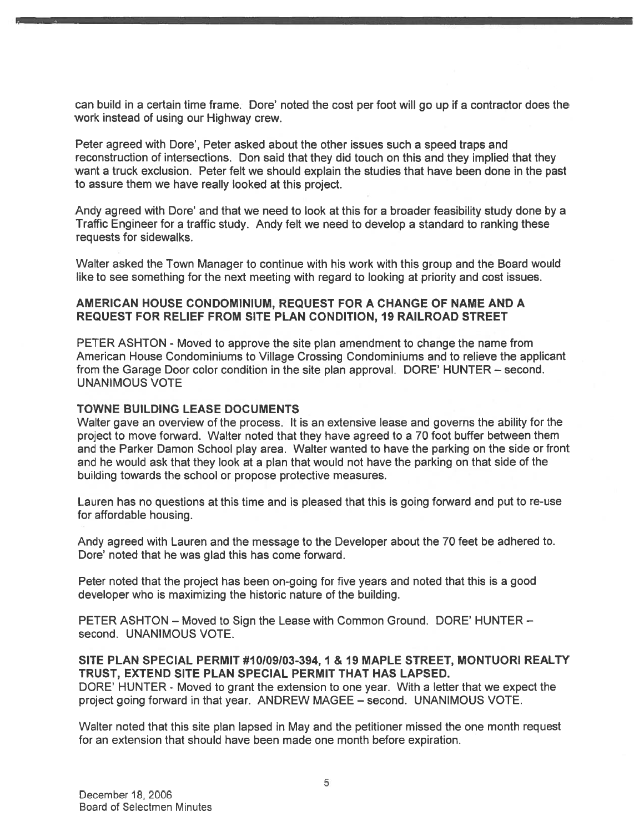can build in a certain time frame. Dore' noted the cost per foot will go up if a contractor does the work instead of using our Highway crew.

Peter agreed with Dore', Peter asked about the other issues such <sup>a</sup> speed traps and reconstruction of intersections. Don said that they did touch on this and they implied that they want <sup>a</sup> truck exclusion. Peter felt we should explain the studies that have been done in the pas<sup>t</sup> to assure them we have really looked at this project.

Andy agreed with Dore' and that we need to look at this for <sup>a</sup> broader feasibility study done by <sup>a</sup> Traffic Engineer for <sup>a</sup> traffic study. Andy felt we need to develop <sup>a</sup> standard to ranking these requests for sidewalks.

Walter asked the Town Manager to continue with his work with this group and the Board would like to see something for the next meeting with regard to looking at priority and cost issues.

#### AMERICAN HOUSE CONDOMINIUM, REQUEST FOR A CHANGE OF NAME AND A REQUEST FOR RELIEF FROM SITE PLAN CONDITION, 19 RAILROAD STREET

PETER ASHTON - Moved to approve the site plan amendment to change the name from American House Condominiums to Village Crossing Condominiums and to relieve the applicant from the Garage Door color condition in the site plan approval. DORE' HUNTER — second. UNANIMOUS VOTE

#### TOWNE BUILDING LEASE DOCUMENTS

Walter gave an overview of the process. It is an extensive lease and governs the ability for the project to move forward. Walter noted that they have agreed to <sup>a</sup> 70 foot buffer between them and the Parker Damon School play area. Walter wanted to have the parking on the side or front and he would ask that they look at <sup>a</sup> plan that would not have the parking on that side of the building towards the school or propose protective measures.

Lauren has no questions at this time and is pleased that this is going forward and pu<sup>t</sup> to re-use for affordable housing.

Andy agreed with Lauren and the message to the Developer about the 70 feet be adhered to. Dore' noted that he was glad this has come forward.

Peter noted that the project has been on-going for five years and noted that this is <sup>a</sup> good developer who is maximizing the historic nature of the building.

PETER ASHTON — Moved to Sign the Lease with Common Ground. DORE' HUNTER second. UNANIMOUS VOTE.

#### SITE PLAN SPECIAL PERMIT #10109103-394, 1 & 19 MAPLE STREET, MONTUORI REALTY TRUST, EXTEND SITE PLAN SPECIAL PERMIT THAT HAS LAPSED.

DORE' HUNTER - Moved to gran<sup>t</sup> the extension to one year. With <sup>a</sup> letter that we expec<sup>t</sup> the project going forward in that year. ANDREW MAGEE — second. UNANIMOUS VOTE.

Walter noted that this site plan lapsed in May and the petitioner missed the one month reques<sup>t</sup> for an extension that should have been made one month before expiration.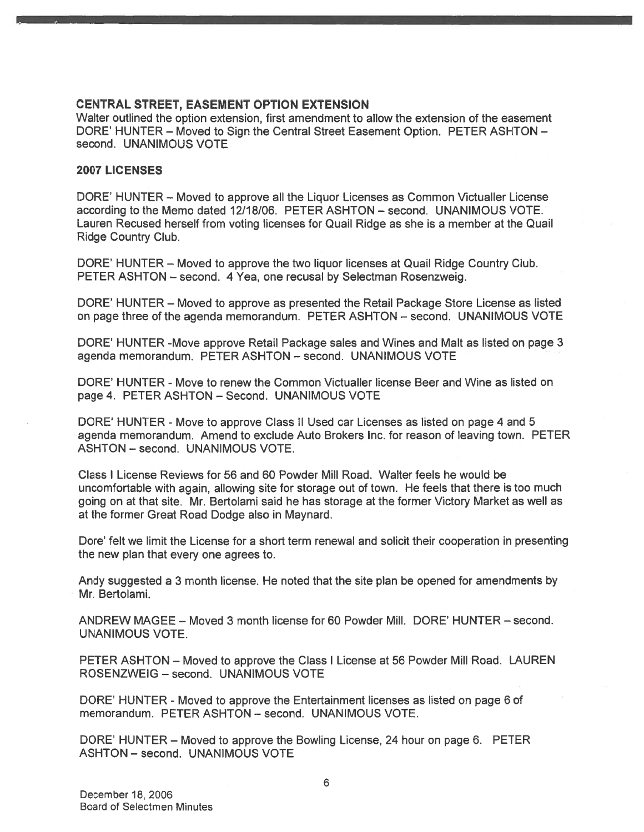#### CENTRAL STREET, EASEMENT OPTION EXTENSION

Walter outlined the option extension, first amendment to allow the extension of the easement DORE' HUNTER — Moved to Sign the Central Street Easement Option. PETER ASHTON second. UNANIMOUS VOTE

#### 2007 LICENSES

DORE' HUNTER — Moved to approve all the Liquor Licenses as Common Victualler License according to the Memo dated 12/18/06. PETER ASHTON — second. UNANIMOUS VOTE. Lauren Recused herself from voting licenses for Quail Ridge as she is <sup>a</sup> member at the Quail Ridge Country Club.

DORE' HUNTER — Moved to approve the two liquor licenses at Quail Ridge Country Club. PETER ASHTON — second. 4 Yea, one recusal by Selectman Rosenzweig.

DORE' HUNTER — Moved to approve as presented the Retail Package Store License as listed on page three of the agenda memorandum. PETER ASHTON — second. UNANIMOUS VOTE

DORE' HUNTER -Move approve Retail Package sales and Wines and Malt as listed on page 3 agenda memorandum. PETER ASHTON — second. UNANIMOUS VOTE

DORE' HUNTER - Move to renew the Common Victualler license Beer and Wine as listed on page 4. PETER ASHTON — Second. UNANIMOUS VOTE

DORE' HUNTER - Move to approve Class II Used car Licenses as listed on page 4 and 5 agenda memorandum. Amend to exclude Auto Brokers Inc. for reason of leaving town. PETER ASHTON - second. UNANIMOUS VOTE.

Class I License Reviews for 56 and 60 Powder Mill Road. Walter feels he would be uncomfortable with again, allowing site for storage out of town. He feels that there is too much going on at that site. Mr. Bertolami said he has storage at the former Victory Market as well as at the former Great Road Dodge also in Maynard.

Dore' felt we limit the License for <sup>a</sup> short term renewal and solicit their cooperation in presenting the new plan that every one agrees to.

Andy suggested <sup>a</sup> 3 month license. He noted that the site plan be opened for amendments by Mr. Bertolami.

ANDREW MAGEE — Moved 3 month license for 60 Powder Mill. DORE' HUNTER — second. UNANIMOUS VOTE.

PETER ASHTON — Moved to approve the Class I License at 56 Powder Mill Road. LAUREN ROSENZWEIG — second. UNANIMOUS VOTE

DORE' HUNTER - Moved to approve the Entertainment licenses as listed on page 6 of memorandum. PETER ASHTON — second. UNANIMOUS VOTE.

DORE' HUNTER — Moved to approve the Bowling License, 24 hour on page 6. PETER ASHTON — second. UNANIMOUS VOTE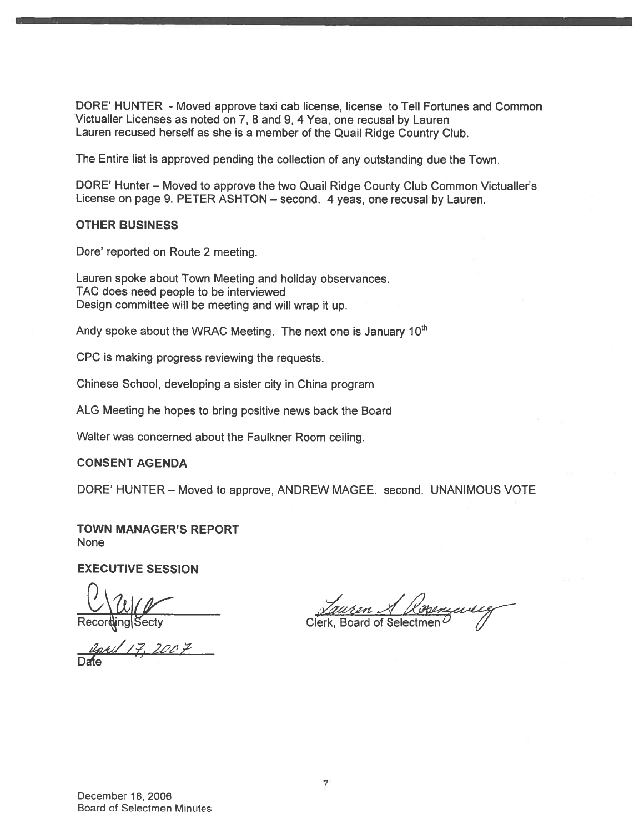DORE' HUNTER - Moved approve taxi cab license, license to Tell Fortunes and Common Victualler Licenses as noted on 7, <sup>8</sup> and 9, <sup>4</sup> Yea, one recusal by Lauren Lauren recused herself as she is <sup>a</sup> member of the Quail Ridge Country Club.

The Entire list is approved pending the collection of any outstanding due the Town.

DORE' Hunter — Moved to approve the two Quail Ridge County Club Common Victualler's License on page 9. PETER ASHTON — second. <sup>4</sup> yeas, one recusal by Lauren.

#### OTHER BUSINESS

Dore' reported on Route 2 meeting.

Lauren spoke about Town Meeting and holiday observances. TAC does need people to be interviewed Design committee will be meeting and will wrap it up.

Andy spoke about the WRAC Meeting. The next one is January 10<sup>th</sup>

CPC is making progress reviewing the requests.

Chinese School, developing <sup>a</sup> sister city in China program

ALG Meeting he hopes to bring positive news back the Board

Walter was concerned about the Faulkner Room ceiling.

#### CONSENT AGENDA

DORE' HUNTER — Moved to approve, ANDREW MAGEE. second. UNANIMOUS VOTE

TOWN MANAGER'S REPORT None

EXECUTIVE SESSION

Secty

eril 17, 2007 Dafte **Dafte** 

**Board of Selectr**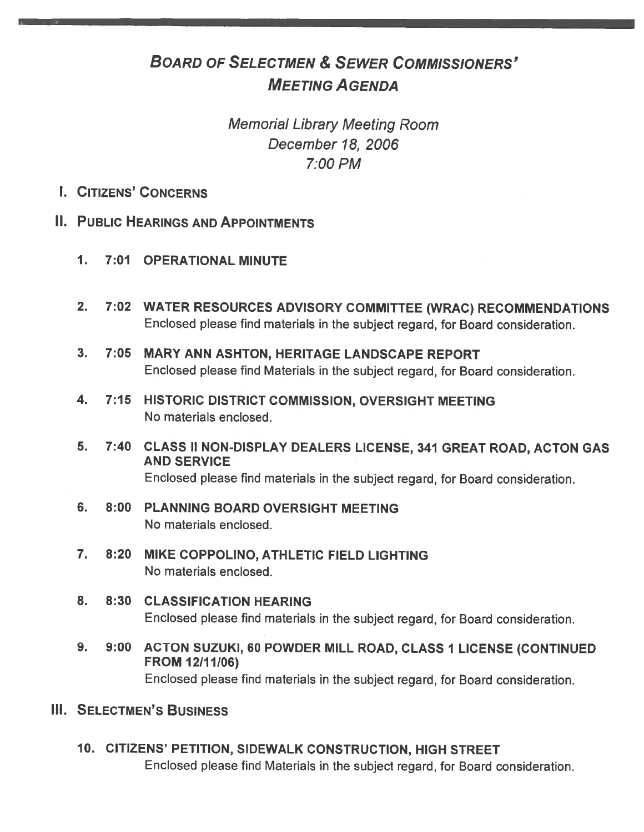# BOARD OF SELECTMEN & SEWER COMMISSIONERS' MEETING AGENDA

# Memorial Library Meeting Room December 18, 2006 7:00 PM

- I. CITIZENS' CONCERNS
- II. PUBLIC HEARINGS AND APPOINTMENTS
	- 1. 7:01 OPERATIONAL MINUTE
	- 2. 7:02 WATER RESOURCES ADVISORY COMMITTEE (WRAC) RECOMMENDATIONS Enclosed <sup>p</sup>lease find materials in the subject regard, for Board consideration.
	- 3. 7:05 MARY ANN ASHTON, HERITAGE LANDSCAPE REPORT Enclosed <sup>p</sup>lease find Materials in the subject regard, for Board consideration.
	- 4. 7:15 HISTORIC DISTRICT COMMISSION, OVERSIGHT MEETING No materials enclosed.
	- 5. 7:40 CLASS II NON-DISPLAY DEALERS LICENSE, 341 GREAT ROAD, ACTON GAS AND SERVICE Enclosed <sup>p</sup>lease find materials in the subject regard, for Board consideration.
	- 6. 8:00 PLANNING BOARD OVERSIGHT MEETING No materials enclosed.
	- 7. 8:20 MIKE COPPOLINO, ATHLETIC FIELD LIGHTING No materials enclosed.
	- 8. 8:30 CLASSIFICATION HEARING Enclosed <sup>p</sup>lease find materials in the subject regard, for Board consideration.
	- 9. 9:00 ACTON SUZUKI, 60 POWDER MILL ROAD, CLASS 1 LICENSE (CONTINUED FROM 12/11/06) Enclosed <sup>p</sup>lease find materials in the subject regard, for Board consideration.
- **III. SELECTMEN'S BUSINESS** 
	- 10. CITIZENS' PETITION, SIDEWALK CONSTRUCTION, HIGH STREET Enclosed <sup>p</sup>lease find Materials in the subject regard, for Board consideration.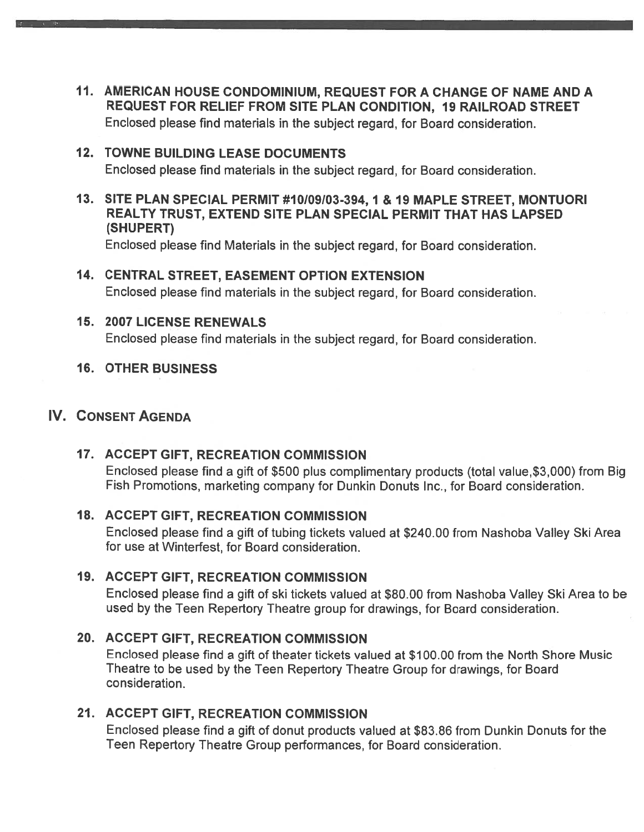11. AMERICAN HOUSE CONDOMINIUM, REQUEST FOR <sup>A</sup> CHANGE OF NAME AND <sup>A</sup> REQUEST FOR RELIEF FROM SITE PLAN CONDITION, 19 RAILROAD STREET Enclosed <sup>p</sup>lease find materials in the subject regard, for Board consideration.

## 12. TOWNE BUILDING LEASE DOCUMENTS Enclosed please find materials in the subject regard, for Board consideration.

13. SITE PLAN SPECIAL PERMIT #10109103-394, 1 & 19 MAPLE STREET, MONTUORI REALTY TRUST, EXTEND SITE PLAN SPECIAL PERMIT THAT HAS LAPSED (SHUPERT)

Enclosed please find Materials in the subject regard, for Board consideration.

14. CENTRAL STREET, EASEMENT OPTION EXTENSION Enclosed please find materials in the subject regard, for Board consideration.

## 15. 2007 LICENSE RENEWALS Enclosed please find materials in the subject regard, for Board consideration.

## 16. OTHER BUSINESS

## IV. CONSENT AGENDA

## 17. ACCEPT GIFT, RECREATION COMMISSION

Enclosed <sup>p</sup>lease find <sup>a</sup> <sup>g</sup>ift of \$500 <sup>p</sup>lus complimentary products (total value,\$3,000) from Big Fish Promotions, marketing company for Dunkin Donuts Inc., for Board consideration.

### 18. ACCEPT GIFT, RECREATION COMMISSION

Enclosed please find <sup>a</sup> gift of tubing tickets valued at \$240.00 from Nashoba Valley Ski Area for use at Winterfest, for Board consideration.

## 19. ACCEPT GIFT, RECREATION COMMISSION

Enclosed please find <sup>a</sup> gift of ski tickets valued at \$80.00 from Nashoba Valley Ski Area to be used by the Teen Repertory Theatre group for drawings, for Board consideration.

## 20. ACCEPT GIFT, RECREATION COMMISSION

Enclosed please find <sup>a</sup> gift of theater tickets valued at \$100.00 from the North Shore Music Theatre to be used by the Teen Repertory Theatre Group for drawings, for Board consideration.

## 21. ACCEPT GIFT, RECREATION COMMiSSION

Enclosed please find <sup>a</sup> gift of donut products valued at \$83.86 from Dunkin Donuts for the Teen Repertory Theatre Group performances, for Board consideration.